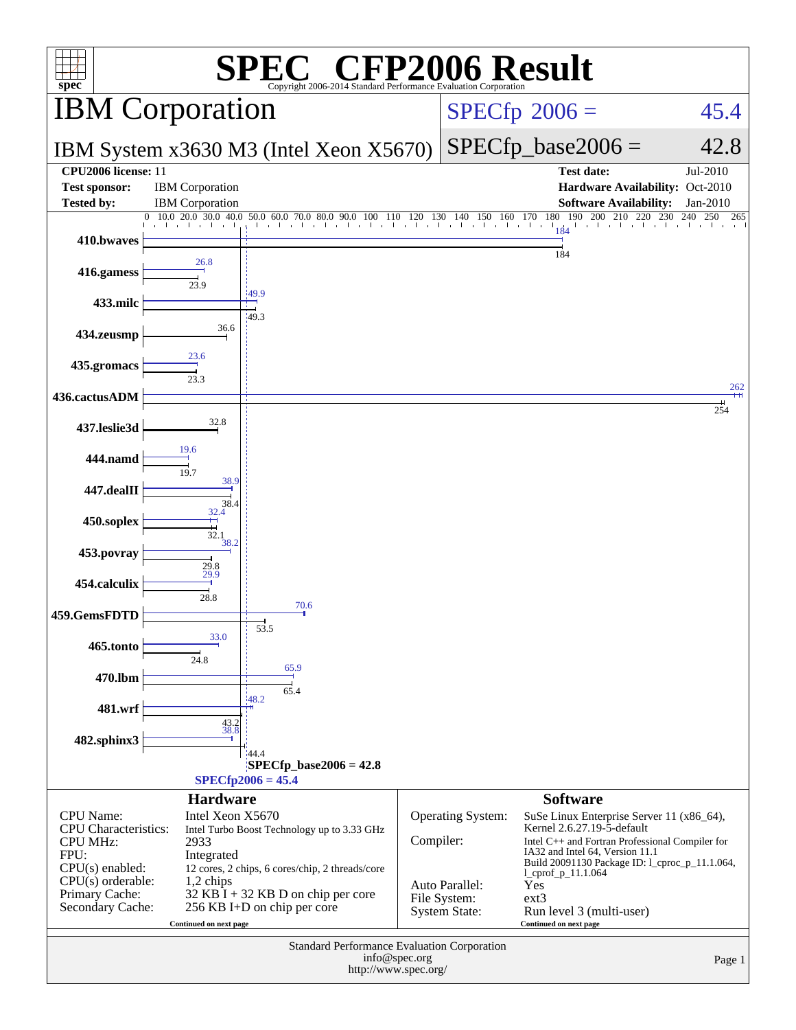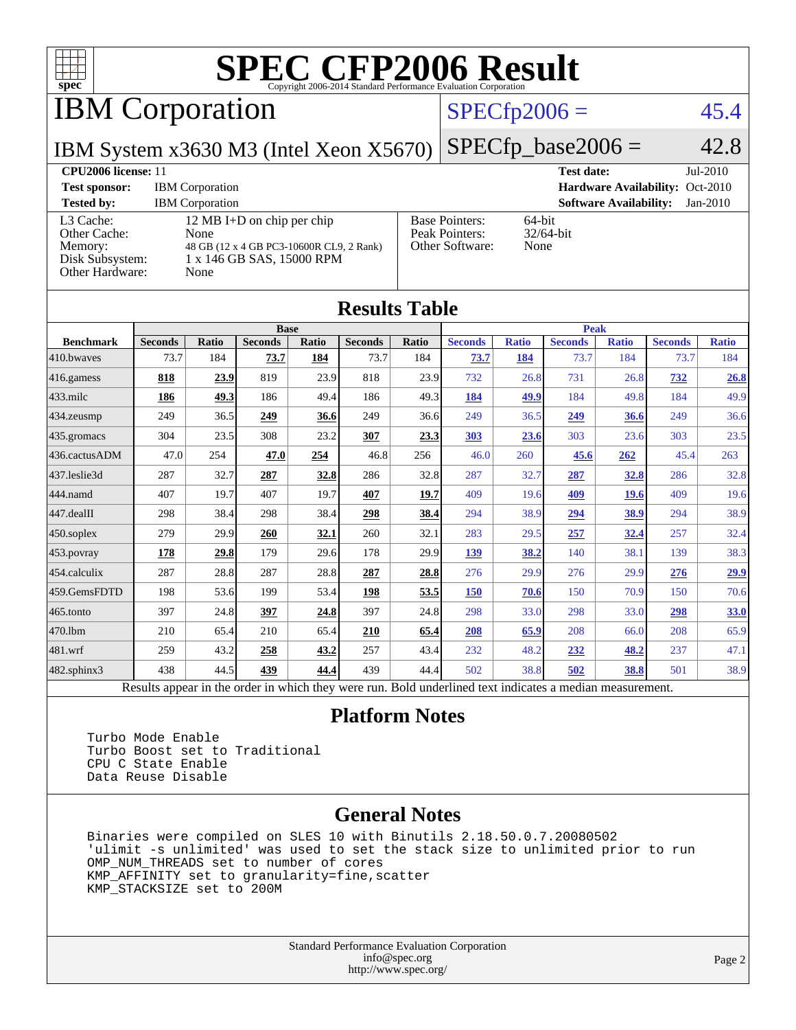

IBM Corporation

### $SPECfp2006 = 45.4$  $SPECfp2006 = 45.4$

IBM System x3630 M3 (Intel Xeon X5670)

 $SPECTp\_base2006 = 42.8$ 

#### **[CPU2006 license:](http://www.spec.org/auto/cpu2006/Docs/result-fields.html#CPU2006license)** 11 **[Test date:](http://www.spec.org/auto/cpu2006/Docs/result-fields.html#Testdate)** Jul-2010 **[Test sponsor:](http://www.spec.org/auto/cpu2006/Docs/result-fields.html#Testsponsor)** IBM Corporation **[Hardware Availability:](http://www.spec.org/auto/cpu2006/Docs/result-fields.html#HardwareAvailability)** Oct-2010 **[Tested by:](http://www.spec.org/auto/cpu2006/Docs/result-fields.html#Testedby)** IBM Corporation **[Software Availability:](http://www.spec.org/auto/cpu2006/Docs/result-fields.html#SoftwareAvailability)** Jan-2010 [L3 Cache:](http://www.spec.org/auto/cpu2006/Docs/result-fields.html#L3Cache) 12 MB I+D on chip per chip<br>Other Cache: None [Other Cache:](http://www.spec.org/auto/cpu2006/Docs/result-fields.html#OtherCache) [Memory:](http://www.spec.org/auto/cpu2006/Docs/result-fields.html#Memory) 48 GB (12 x 4 GB PC3-10600R CL9, 2 Rank) [Disk Subsystem:](http://www.spec.org/auto/cpu2006/Docs/result-fields.html#DiskSubsystem) 1 x 146 GB SAS, 15000 RPM [Other Hardware:](http://www.spec.org/auto/cpu2006/Docs/result-fields.html#OtherHardware) None [Base Pointers:](http://www.spec.org/auto/cpu2006/Docs/result-fields.html#BasePointers) 64-bit<br>Peak Pointers: 32/64-bit [Peak Pointers:](http://www.spec.org/auto/cpu2006/Docs/result-fields.html#PeakPointers) [Other Software:](http://www.spec.org/auto/cpu2006/Docs/result-fields.html#OtherSoftware) None

**[Results Table](http://www.spec.org/auto/cpu2006/Docs/result-fields.html#ResultsTable)**

| Results Table          |                                                                                                          |              |                |             |                |       |                |              |                |              |                |              |
|------------------------|----------------------------------------------------------------------------------------------------------|--------------|----------------|-------------|----------------|-------|----------------|--------------|----------------|--------------|----------------|--------------|
|                        | <b>Base</b>                                                                                              |              |                |             | <b>Peak</b>    |       |                |              |                |              |                |              |
| <b>Benchmark</b>       | <b>Seconds</b>                                                                                           | <b>Ratio</b> | <b>Seconds</b> | Ratio       | <b>Seconds</b> | Ratio | <b>Seconds</b> | <b>Ratio</b> | <b>Seconds</b> | <b>Ratio</b> | <b>Seconds</b> | <b>Ratio</b> |
| 410.bwayes             | 73.7                                                                                                     | 184          | <u>73.7</u>    | 184         | 73.7           | 184   | <u>73.7</u>    | 184          | 73.7           | 184          | 73.7           | 184          |
| 416.gamess             | 818                                                                                                      | 23.9         | 819            | 23.9        | 818            | 23.9  | 732            | 26.8         | 731            | 26.8         | <b>732</b>     | 26.8         |
| $433$ .milc            | 186                                                                                                      | 49.3         | 186            | 49.4        | 186            | 49.3  | 184            | 49.9         | 184            | 49.8         | 184            | 49.9         |
| $ 434$ . zeusmp        | 249                                                                                                      | 36.5         | 249            | 36.6        | 249            | 36.6  | 249            | 36.5         | 249            | 36.6         | 249            | 36.6         |
| 435.gromacs            | 304                                                                                                      | 23.5         | 308            | 23.2        | 307            | 23.3  | 303            | 23.6         | 303            | 23.6         | 303            | 23.5         |
| 436.cactusADM          | 47.0                                                                                                     | 254          | 47.0           | 254         | 46.8           | 256   | 46.0           | 260          | 45.6           | 262          | 45.4           | 263          |
| 437.leslie3d           | 287                                                                                                      | 32.7         | 287            | 32.8        | 286            | 32.8  | 287            | 32.7         | 287            | 32.8         | 286            | 32.8         |
| 444.namd               | 407                                                                                                      | 19.7         | 407            | 19.7        | 407            | 19.7  | 409            | 19.6         | 409            | 19.6         | 409            | 19.6         |
| $ 447 \text{.}$ dealII | 298                                                                                                      | 38.4         | 298            | 38.4        | 298            | 38.4  | 294            | 38.9         | 294            | 38.9         | 294            | 38.9         |
| $450$ .soplex          | 279                                                                                                      | 29.9         | 260            | <u>32.1</u> | 260            | 32.1  | 283            | 29.5         | 257            | 32.4         | 257            | 32.4         |
| $453$ .povray          | 178                                                                                                      | 29.8         | 179            | 29.6        | 178            | 29.9  | 139            | 38.2         | 140            | 38.1         | 139            | 38.3         |
| $454$ .calculix        | 287                                                                                                      | 28.8         | 287            | 28.8        | 287            | 28.8  | 276            | 29.9         | 276            | 29.9         | 276            | <u>29.9</u>  |
| 459.GemsFDTD           | 198                                                                                                      | 53.6         | 199            | 53.4        | 198            | 53.5  | 150            | 70.6         | 150            | 70.9         | 150            | 70.6         |
| $465$ .tonto           | 397                                                                                                      | 24.8         | 397            | 24.8        | 397            | 24.8  | 298            | 33.0         | 298            | 33.0         | <u>298</u>     | <b>33.0</b>  |
| 470.1bm                | 210                                                                                                      | 65.4         | 210            | 65.4        | 210            | 65.4  | 208            | 65.9         | 208            | 66.0         | 208            | 65.9         |
| $ 481$ .wrf            | 259                                                                                                      | 43.2         | 258            | 43.2        | 257            | 43.4  | 232            | 48.2         | 232            | 48.2         | 237            | 47.1         |
| $482$ .sphinx $3$      | 438                                                                                                      | 44.5         | 439            | 44.4        | 439            | 44.4  | 502            | 38.8         | 502            | 38.8         | 501            | 38.9         |
|                        | Results appear in the order in which they were run. Bold underlined text indicates a median measurement. |              |                |             |                |       |                |              |                |              |                |              |

#### **[Platform Notes](http://www.spec.org/auto/cpu2006/Docs/result-fields.html#PlatformNotes)**

 Turbo Mode Enable Turbo Boost set to Traditional CPU C State Enable Data Reuse Disable

#### **[General Notes](http://www.spec.org/auto/cpu2006/Docs/result-fields.html#GeneralNotes)**

 Binaries were compiled on SLES 10 with Binutils 2.18.50.0.7.20080502 'ulimit -s unlimited' was used to set the stack size to unlimited prior to run OMP\_NUM\_THREADS set to number of cores KMP\_AFFINITY set to granularity=fine,scatter KMP\_STACKSIZE set to 200M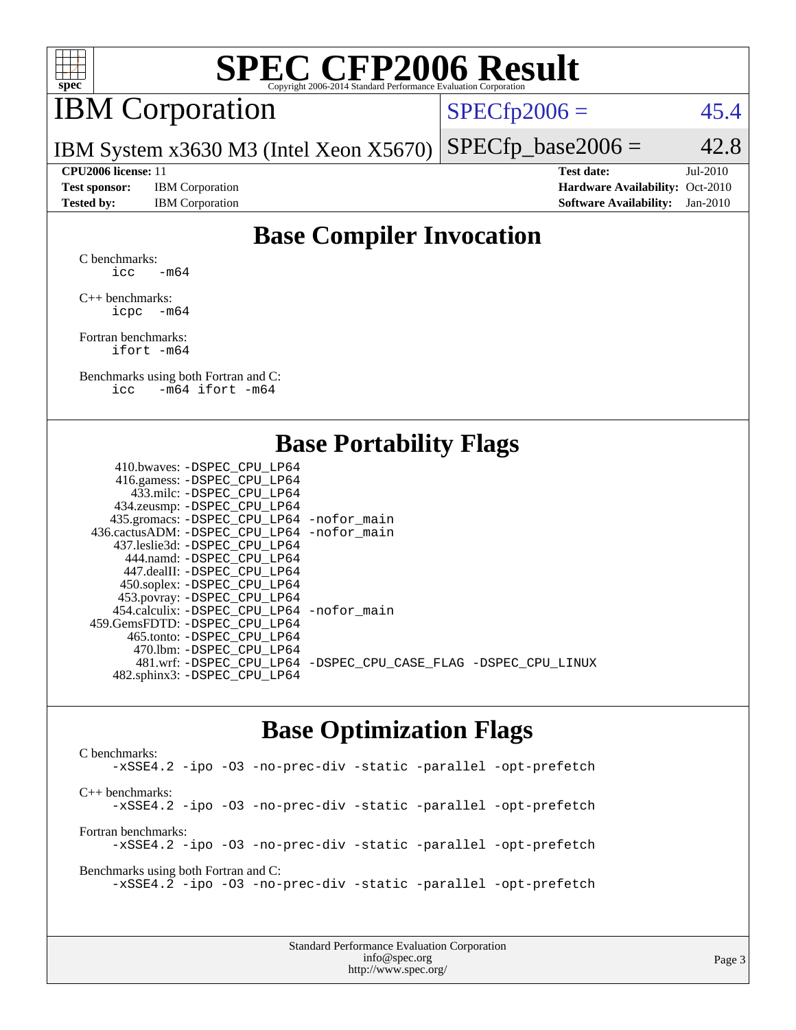

## IBM Corporation

 $SPECTp2006 = 45.4$ 

IBM System x3630 M3 (Intel Xeon X5670)  $SPECTp\_base2006 = 42.8$ 

**[Test sponsor:](http://www.spec.org/auto/cpu2006/Docs/result-fields.html#Testsponsor)** IBM Corporation **[Hardware Availability:](http://www.spec.org/auto/cpu2006/Docs/result-fields.html#HardwareAvailability)** Oct-2010

**[CPU2006 license:](http://www.spec.org/auto/cpu2006/Docs/result-fields.html#CPU2006license)** 11 **[Test date:](http://www.spec.org/auto/cpu2006/Docs/result-fields.html#Testdate)** Jul-2010 **[Tested by:](http://www.spec.org/auto/cpu2006/Docs/result-fields.html#Testedby)** IBM Corporation **[Software Availability:](http://www.spec.org/auto/cpu2006/Docs/result-fields.html#SoftwareAvailability)** Jan-2010

### **[Base Compiler Invocation](http://www.spec.org/auto/cpu2006/Docs/result-fields.html#BaseCompilerInvocation)**

[C benchmarks](http://www.spec.org/auto/cpu2006/Docs/result-fields.html#Cbenchmarks): icc  $-m64$ 

[C++ benchmarks:](http://www.spec.org/auto/cpu2006/Docs/result-fields.html#CXXbenchmarks) [icpc -m64](http://www.spec.org/cpu2006/results/res2010q3/cpu2006-20100830-13122.flags.html#user_CXXbase_intel_icpc_64bit_bedb90c1146cab66620883ef4f41a67e)

[Fortran benchmarks](http://www.spec.org/auto/cpu2006/Docs/result-fields.html#Fortranbenchmarks): [ifort -m64](http://www.spec.org/cpu2006/results/res2010q3/cpu2006-20100830-13122.flags.html#user_FCbase_intel_ifort_64bit_ee9d0fb25645d0210d97eb0527dcc06e)

[Benchmarks using both Fortran and C](http://www.spec.org/auto/cpu2006/Docs/result-fields.html#BenchmarksusingbothFortranandC): [icc -m64](http://www.spec.org/cpu2006/results/res2010q3/cpu2006-20100830-13122.flags.html#user_CC_FCbase_intel_icc_64bit_0b7121f5ab7cfabee23d88897260401c) [ifort -m64](http://www.spec.org/cpu2006/results/res2010q3/cpu2006-20100830-13122.flags.html#user_CC_FCbase_intel_ifort_64bit_ee9d0fb25645d0210d97eb0527dcc06e)

#### **[Base Portability Flags](http://www.spec.org/auto/cpu2006/Docs/result-fields.html#BasePortabilityFlags)**

| 410.bwaves: -DSPEC CPU LP64                 |                                                                |
|---------------------------------------------|----------------------------------------------------------------|
| 416.gamess: - DSPEC_CPU_LP64                |                                                                |
| 433.milc: -DSPEC CPU LP64                   |                                                                |
| 434.zeusmp: -DSPEC_CPU_LP64                 |                                                                |
| 435.gromacs: -DSPEC_CPU_LP64 -nofor_main    |                                                                |
| 436.cactusADM: -DSPEC CPU LP64 -nofor main  |                                                                |
| 437.leslie3d: -DSPEC CPU LP64               |                                                                |
| 444.namd: - DSPEC_CPU_LP64                  |                                                                |
| 447.dealII: -DSPEC CPU LP64                 |                                                                |
| 450.soplex: -DSPEC_CPU_LP64                 |                                                                |
| 453.povray: -DSPEC_CPU_LP64                 |                                                                |
| 454.calculix: - DSPEC CPU LP64 - nofor main |                                                                |
| 459.GemsFDTD: -DSPEC_CPU LP64               |                                                                |
| 465.tonto: - DSPEC_CPU LP64                 |                                                                |
| 470.1bm: - DSPEC CPU LP64                   |                                                                |
|                                             | 481.wrf: -DSPEC_CPU_LP64 -DSPEC_CPU_CASE_FLAG -DSPEC_CPU_LINUX |
| 482.sphinx3: -DSPEC_CPU_LP64                |                                                                |
|                                             |                                                                |

#### **[Base Optimization Flags](http://www.spec.org/auto/cpu2006/Docs/result-fields.html#BaseOptimizationFlags)**

[C benchmarks](http://www.spec.org/auto/cpu2006/Docs/result-fields.html#Cbenchmarks): [-xSSE4.2](http://www.spec.org/cpu2006/results/res2010q3/cpu2006-20100830-13122.flags.html#user_CCbase_f-xSSE42_f91528193cf0b216347adb8b939d4107) [-ipo](http://www.spec.org/cpu2006/results/res2010q3/cpu2006-20100830-13122.flags.html#user_CCbase_f-ipo) [-O3](http://www.spec.org/cpu2006/results/res2010q3/cpu2006-20100830-13122.flags.html#user_CCbase_f-O3) [-no-prec-div](http://www.spec.org/cpu2006/results/res2010q3/cpu2006-20100830-13122.flags.html#user_CCbase_f-no-prec-div) [-static](http://www.spec.org/cpu2006/results/res2010q3/cpu2006-20100830-13122.flags.html#user_CCbase_f-static) [-parallel](http://www.spec.org/cpu2006/results/res2010q3/cpu2006-20100830-13122.flags.html#user_CCbase_f-parallel) [-opt-prefetch](http://www.spec.org/cpu2006/results/res2010q3/cpu2006-20100830-13122.flags.html#user_CCbase_f-opt-prefetch) [C++ benchmarks:](http://www.spec.org/auto/cpu2006/Docs/result-fields.html#CXXbenchmarks) [-xSSE4.2](http://www.spec.org/cpu2006/results/res2010q3/cpu2006-20100830-13122.flags.html#user_CXXbase_f-xSSE42_f91528193cf0b216347adb8b939d4107) [-ipo](http://www.spec.org/cpu2006/results/res2010q3/cpu2006-20100830-13122.flags.html#user_CXXbase_f-ipo) [-O3](http://www.spec.org/cpu2006/results/res2010q3/cpu2006-20100830-13122.flags.html#user_CXXbase_f-O3) [-no-prec-div](http://www.spec.org/cpu2006/results/res2010q3/cpu2006-20100830-13122.flags.html#user_CXXbase_f-no-prec-div) [-static](http://www.spec.org/cpu2006/results/res2010q3/cpu2006-20100830-13122.flags.html#user_CXXbase_f-static) [-parallel](http://www.spec.org/cpu2006/results/res2010q3/cpu2006-20100830-13122.flags.html#user_CXXbase_f-parallel) [-opt-prefetch](http://www.spec.org/cpu2006/results/res2010q3/cpu2006-20100830-13122.flags.html#user_CXXbase_f-opt-prefetch) [Fortran benchmarks](http://www.spec.org/auto/cpu2006/Docs/result-fields.html#Fortranbenchmarks): [-xSSE4.2](http://www.spec.org/cpu2006/results/res2010q3/cpu2006-20100830-13122.flags.html#user_FCbase_f-xSSE42_f91528193cf0b216347adb8b939d4107) [-ipo](http://www.spec.org/cpu2006/results/res2010q3/cpu2006-20100830-13122.flags.html#user_FCbase_f-ipo) [-O3](http://www.spec.org/cpu2006/results/res2010q3/cpu2006-20100830-13122.flags.html#user_FCbase_f-O3) [-no-prec-div](http://www.spec.org/cpu2006/results/res2010q3/cpu2006-20100830-13122.flags.html#user_FCbase_f-no-prec-div) [-static](http://www.spec.org/cpu2006/results/res2010q3/cpu2006-20100830-13122.flags.html#user_FCbase_f-static) [-parallel](http://www.spec.org/cpu2006/results/res2010q3/cpu2006-20100830-13122.flags.html#user_FCbase_f-parallel) [-opt-prefetch](http://www.spec.org/cpu2006/results/res2010q3/cpu2006-20100830-13122.flags.html#user_FCbase_f-opt-prefetch) [Benchmarks using both Fortran and C](http://www.spec.org/auto/cpu2006/Docs/result-fields.html#BenchmarksusingbothFortranandC): [-xSSE4.2](http://www.spec.org/cpu2006/results/res2010q3/cpu2006-20100830-13122.flags.html#user_CC_FCbase_f-xSSE42_f91528193cf0b216347adb8b939d4107) [-ipo](http://www.spec.org/cpu2006/results/res2010q3/cpu2006-20100830-13122.flags.html#user_CC_FCbase_f-ipo) [-O3](http://www.spec.org/cpu2006/results/res2010q3/cpu2006-20100830-13122.flags.html#user_CC_FCbase_f-O3) [-no-prec-div](http://www.spec.org/cpu2006/results/res2010q3/cpu2006-20100830-13122.flags.html#user_CC_FCbase_f-no-prec-div) [-static](http://www.spec.org/cpu2006/results/res2010q3/cpu2006-20100830-13122.flags.html#user_CC_FCbase_f-static) [-parallel](http://www.spec.org/cpu2006/results/res2010q3/cpu2006-20100830-13122.flags.html#user_CC_FCbase_f-parallel) [-opt-prefetch](http://www.spec.org/cpu2006/results/res2010q3/cpu2006-20100830-13122.flags.html#user_CC_FCbase_f-opt-prefetch)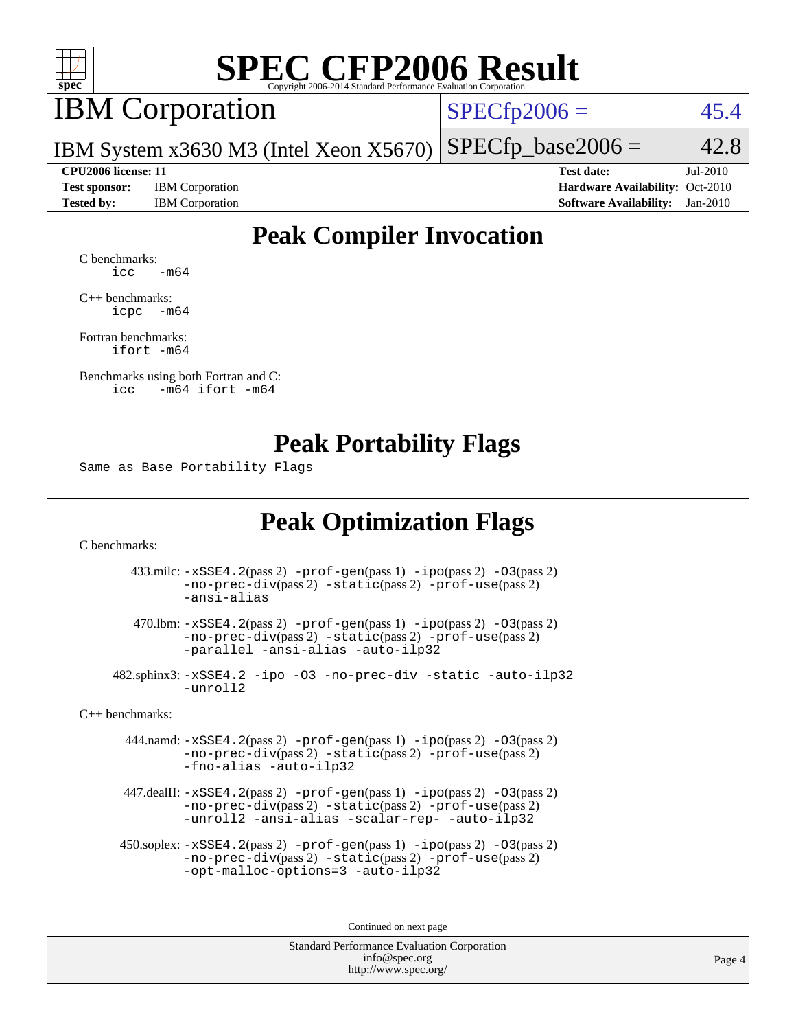

### IBM Corporation

 $SPECfp2006 = 45.4$  $SPECfp2006 = 45.4$ 

IBM System x3630 M3 (Intel Xeon X5670)  $SPECfp\_base2006 = 42.8$ 

**[Test sponsor:](http://www.spec.org/auto/cpu2006/Docs/result-fields.html#Testsponsor)** IBM Corporation **[Hardware Availability:](http://www.spec.org/auto/cpu2006/Docs/result-fields.html#HardwareAvailability)** Oct-2010

**[CPU2006 license:](http://www.spec.org/auto/cpu2006/Docs/result-fields.html#CPU2006license)** 11 **[Test date:](http://www.spec.org/auto/cpu2006/Docs/result-fields.html#Testdate)** Jul-2010 **[Tested by:](http://www.spec.org/auto/cpu2006/Docs/result-fields.html#Testedby)** IBM Corporation **[Software Availability:](http://www.spec.org/auto/cpu2006/Docs/result-fields.html#SoftwareAvailability)** Jan-2010

### **[Peak Compiler Invocation](http://www.spec.org/auto/cpu2006/Docs/result-fields.html#PeakCompilerInvocation)**

[C benchmarks](http://www.spec.org/auto/cpu2006/Docs/result-fields.html#Cbenchmarks):  $\text{icc}$   $-\text{m64}$ 

[C++ benchmarks:](http://www.spec.org/auto/cpu2006/Docs/result-fields.html#CXXbenchmarks) [icpc -m64](http://www.spec.org/cpu2006/results/res2010q3/cpu2006-20100830-13122.flags.html#user_CXXpeak_intel_icpc_64bit_bedb90c1146cab66620883ef4f41a67e)

[Fortran benchmarks](http://www.spec.org/auto/cpu2006/Docs/result-fields.html#Fortranbenchmarks): [ifort -m64](http://www.spec.org/cpu2006/results/res2010q3/cpu2006-20100830-13122.flags.html#user_FCpeak_intel_ifort_64bit_ee9d0fb25645d0210d97eb0527dcc06e)

[Benchmarks using both Fortran and C](http://www.spec.org/auto/cpu2006/Docs/result-fields.html#BenchmarksusingbothFortranandC): [icc -m64](http://www.spec.org/cpu2006/results/res2010q3/cpu2006-20100830-13122.flags.html#user_CC_FCpeak_intel_icc_64bit_0b7121f5ab7cfabee23d88897260401c) [ifort -m64](http://www.spec.org/cpu2006/results/res2010q3/cpu2006-20100830-13122.flags.html#user_CC_FCpeak_intel_ifort_64bit_ee9d0fb25645d0210d97eb0527dcc06e)

#### **[Peak Portability Flags](http://www.spec.org/auto/cpu2006/Docs/result-fields.html#PeakPortabilityFlags)**

Same as Base Portability Flags

#### **[Peak Optimization Flags](http://www.spec.org/auto/cpu2006/Docs/result-fields.html#PeakOptimizationFlags)**

[C benchmarks](http://www.spec.org/auto/cpu2006/Docs/result-fields.html#Cbenchmarks):

 433.milc: [-xSSE4.2](http://www.spec.org/cpu2006/results/res2010q3/cpu2006-20100830-13122.flags.html#user_peakPASS2_CFLAGSPASS2_LDFLAGS433_milc_f-xSSE42_f91528193cf0b216347adb8b939d4107)(pass 2) [-prof-gen](http://www.spec.org/cpu2006/results/res2010q3/cpu2006-20100830-13122.flags.html#user_peakPASS1_CFLAGSPASS1_LDFLAGS433_milc_prof_gen_e43856698f6ca7b7e442dfd80e94a8fc)(pass 1) [-ipo](http://www.spec.org/cpu2006/results/res2010q3/cpu2006-20100830-13122.flags.html#user_peakPASS2_CFLAGSPASS2_LDFLAGS433_milc_f-ipo)(pass 2) [-O3](http://www.spec.org/cpu2006/results/res2010q3/cpu2006-20100830-13122.flags.html#user_peakPASS2_CFLAGSPASS2_LDFLAGS433_milc_f-O3)(pass 2) [-no-prec-div](http://www.spec.org/cpu2006/results/res2010q3/cpu2006-20100830-13122.flags.html#user_peakPASS2_CFLAGSPASS2_LDFLAGS433_milc_f-no-prec-div)(pass 2) [-static](http://www.spec.org/cpu2006/results/res2010q3/cpu2006-20100830-13122.flags.html#user_peakPASS2_CFLAGSPASS2_LDFLAGS433_milc_f-static)(pass 2) [-prof-use](http://www.spec.org/cpu2006/results/res2010q3/cpu2006-20100830-13122.flags.html#user_peakPASS2_CFLAGSPASS2_LDFLAGS433_milc_prof_use_bccf7792157ff70d64e32fe3e1250b55)(pass 2) [-ansi-alias](http://www.spec.org/cpu2006/results/res2010q3/cpu2006-20100830-13122.flags.html#user_peakOPTIMIZE433_milc_f-ansi-alias)

 470.lbm: [-xSSE4.2](http://www.spec.org/cpu2006/results/res2010q3/cpu2006-20100830-13122.flags.html#user_peakPASS2_CFLAGSPASS2_LDFLAGS470_lbm_f-xSSE42_f91528193cf0b216347adb8b939d4107)(pass 2) [-prof-gen](http://www.spec.org/cpu2006/results/res2010q3/cpu2006-20100830-13122.flags.html#user_peakPASS1_CFLAGSPASS1_LDFLAGS470_lbm_prof_gen_e43856698f6ca7b7e442dfd80e94a8fc)(pass 1) [-ipo](http://www.spec.org/cpu2006/results/res2010q3/cpu2006-20100830-13122.flags.html#user_peakPASS2_CFLAGSPASS2_LDFLAGS470_lbm_f-ipo)(pass 2) [-O3](http://www.spec.org/cpu2006/results/res2010q3/cpu2006-20100830-13122.flags.html#user_peakPASS2_CFLAGSPASS2_LDFLAGS470_lbm_f-O3)(pass 2) [-no-prec-div](http://www.spec.org/cpu2006/results/res2010q3/cpu2006-20100830-13122.flags.html#user_peakPASS2_CFLAGSPASS2_LDFLAGS470_lbm_f-no-prec-div)(pass 2) [-static](http://www.spec.org/cpu2006/results/res2010q3/cpu2006-20100830-13122.flags.html#user_peakPASS2_CFLAGSPASS2_LDFLAGS470_lbm_f-static)(pass 2) [-prof-use](http://www.spec.org/cpu2006/results/res2010q3/cpu2006-20100830-13122.flags.html#user_peakPASS2_CFLAGSPASS2_LDFLAGS470_lbm_prof_use_bccf7792157ff70d64e32fe3e1250b55)(pass 2) [-parallel](http://www.spec.org/cpu2006/results/res2010q3/cpu2006-20100830-13122.flags.html#user_peakOPTIMIZE470_lbm_f-parallel) [-ansi-alias](http://www.spec.org/cpu2006/results/res2010q3/cpu2006-20100830-13122.flags.html#user_peakOPTIMIZE470_lbm_f-ansi-alias) [-auto-ilp32](http://www.spec.org/cpu2006/results/res2010q3/cpu2006-20100830-13122.flags.html#user_peakCOPTIMIZE470_lbm_f-auto-ilp32)

 482.sphinx3: [-xSSE4.2](http://www.spec.org/cpu2006/results/res2010q3/cpu2006-20100830-13122.flags.html#user_peakOPTIMIZE482_sphinx3_f-xSSE42_f91528193cf0b216347adb8b939d4107) [-ipo](http://www.spec.org/cpu2006/results/res2010q3/cpu2006-20100830-13122.flags.html#user_peakOPTIMIZE482_sphinx3_f-ipo) [-O3](http://www.spec.org/cpu2006/results/res2010q3/cpu2006-20100830-13122.flags.html#user_peakOPTIMIZE482_sphinx3_f-O3) [-no-prec-div](http://www.spec.org/cpu2006/results/res2010q3/cpu2006-20100830-13122.flags.html#user_peakOPTIMIZE482_sphinx3_f-no-prec-div) [-static](http://www.spec.org/cpu2006/results/res2010q3/cpu2006-20100830-13122.flags.html#user_peakOPTIMIZE482_sphinx3_f-static) [-auto-ilp32](http://www.spec.org/cpu2006/results/res2010q3/cpu2006-20100830-13122.flags.html#user_peakCOPTIMIZE482_sphinx3_f-auto-ilp32) [-unroll2](http://www.spec.org/cpu2006/results/res2010q3/cpu2006-20100830-13122.flags.html#user_peakCOPTIMIZE482_sphinx3_f-unroll_784dae83bebfb236979b41d2422d7ec2)

[C++ benchmarks:](http://www.spec.org/auto/cpu2006/Docs/result-fields.html#CXXbenchmarks)

 444.namd: [-xSSE4.2](http://www.spec.org/cpu2006/results/res2010q3/cpu2006-20100830-13122.flags.html#user_peakPASS2_CXXFLAGSPASS2_LDFLAGS444_namd_f-xSSE42_f91528193cf0b216347adb8b939d4107)(pass 2) [-prof-gen](http://www.spec.org/cpu2006/results/res2010q3/cpu2006-20100830-13122.flags.html#user_peakPASS1_CXXFLAGSPASS1_LDFLAGS444_namd_prof_gen_e43856698f6ca7b7e442dfd80e94a8fc)(pass 1) [-ipo](http://www.spec.org/cpu2006/results/res2010q3/cpu2006-20100830-13122.flags.html#user_peakPASS2_CXXFLAGSPASS2_LDFLAGS444_namd_f-ipo)(pass 2) [-O3](http://www.spec.org/cpu2006/results/res2010q3/cpu2006-20100830-13122.flags.html#user_peakPASS2_CXXFLAGSPASS2_LDFLAGS444_namd_f-O3)(pass 2) [-no-prec-div](http://www.spec.org/cpu2006/results/res2010q3/cpu2006-20100830-13122.flags.html#user_peakPASS2_CXXFLAGSPASS2_LDFLAGS444_namd_f-no-prec-div)(pass 2) [-static](http://www.spec.org/cpu2006/results/res2010q3/cpu2006-20100830-13122.flags.html#user_peakPASS2_CXXFLAGSPASS2_LDFLAGS444_namd_f-static)(pass 2) [-prof-use](http://www.spec.org/cpu2006/results/res2010q3/cpu2006-20100830-13122.flags.html#user_peakPASS2_CXXFLAGSPASS2_LDFLAGS444_namd_prof_use_bccf7792157ff70d64e32fe3e1250b55)(pass 2) [-fno-alias](http://www.spec.org/cpu2006/results/res2010q3/cpu2006-20100830-13122.flags.html#user_peakOPTIMIZE444_namd_f-no-alias_694e77f6c5a51e658e82ccff53a9e63a) [-auto-ilp32](http://www.spec.org/cpu2006/results/res2010q3/cpu2006-20100830-13122.flags.html#user_peakCXXOPTIMIZE444_namd_f-auto-ilp32)

 447.dealII: [-xSSE4.2](http://www.spec.org/cpu2006/results/res2010q3/cpu2006-20100830-13122.flags.html#user_peakPASS2_CXXFLAGSPASS2_LDFLAGS447_dealII_f-xSSE42_f91528193cf0b216347adb8b939d4107)(pass 2) [-prof-gen](http://www.spec.org/cpu2006/results/res2010q3/cpu2006-20100830-13122.flags.html#user_peakPASS1_CXXFLAGSPASS1_LDFLAGS447_dealII_prof_gen_e43856698f6ca7b7e442dfd80e94a8fc)(pass 1) [-ipo](http://www.spec.org/cpu2006/results/res2010q3/cpu2006-20100830-13122.flags.html#user_peakPASS2_CXXFLAGSPASS2_LDFLAGS447_dealII_f-ipo)(pass 2) [-O3](http://www.spec.org/cpu2006/results/res2010q3/cpu2006-20100830-13122.flags.html#user_peakPASS2_CXXFLAGSPASS2_LDFLAGS447_dealII_f-O3)(pass 2) [-no-prec-div](http://www.spec.org/cpu2006/results/res2010q3/cpu2006-20100830-13122.flags.html#user_peakPASS2_CXXFLAGSPASS2_LDFLAGS447_dealII_f-no-prec-div)(pass 2) [-static](http://www.spec.org/cpu2006/results/res2010q3/cpu2006-20100830-13122.flags.html#user_peakPASS2_CXXFLAGSPASS2_LDFLAGS447_dealII_f-static)(pass 2) [-prof-use](http://www.spec.org/cpu2006/results/res2010q3/cpu2006-20100830-13122.flags.html#user_peakPASS2_CXXFLAGSPASS2_LDFLAGS447_dealII_prof_use_bccf7792157ff70d64e32fe3e1250b55)(pass 2) [-unroll2](http://www.spec.org/cpu2006/results/res2010q3/cpu2006-20100830-13122.flags.html#user_peakOPTIMIZE447_dealII_f-unroll_784dae83bebfb236979b41d2422d7ec2) [-ansi-alias](http://www.spec.org/cpu2006/results/res2010q3/cpu2006-20100830-13122.flags.html#user_peakOPTIMIZE447_dealII_f-ansi-alias) [-scalar-rep-](http://www.spec.org/cpu2006/results/res2010q3/cpu2006-20100830-13122.flags.html#user_peakOPTIMIZE447_dealII_f-disablescalarrep_abbcad04450fb118e4809c81d83c8a1d) [-auto-ilp32](http://www.spec.org/cpu2006/results/res2010q3/cpu2006-20100830-13122.flags.html#user_peakCXXOPTIMIZE447_dealII_f-auto-ilp32)

 450.soplex: [-xSSE4.2](http://www.spec.org/cpu2006/results/res2010q3/cpu2006-20100830-13122.flags.html#user_peakPASS2_CXXFLAGSPASS2_LDFLAGS450_soplex_f-xSSE42_f91528193cf0b216347adb8b939d4107)(pass 2) [-prof-gen](http://www.spec.org/cpu2006/results/res2010q3/cpu2006-20100830-13122.flags.html#user_peakPASS1_CXXFLAGSPASS1_LDFLAGS450_soplex_prof_gen_e43856698f6ca7b7e442dfd80e94a8fc)(pass 1) [-ipo](http://www.spec.org/cpu2006/results/res2010q3/cpu2006-20100830-13122.flags.html#user_peakPASS2_CXXFLAGSPASS2_LDFLAGS450_soplex_f-ipo)(pass 2) [-O3](http://www.spec.org/cpu2006/results/res2010q3/cpu2006-20100830-13122.flags.html#user_peakPASS2_CXXFLAGSPASS2_LDFLAGS450_soplex_f-O3)(pass 2) [-no-prec-div](http://www.spec.org/cpu2006/results/res2010q3/cpu2006-20100830-13122.flags.html#user_peakPASS2_CXXFLAGSPASS2_LDFLAGS450_soplex_f-no-prec-div)(pass 2) [-static](http://www.spec.org/cpu2006/results/res2010q3/cpu2006-20100830-13122.flags.html#user_peakPASS2_CXXFLAGSPASS2_LDFLAGS450_soplex_f-static)(pass 2) [-prof-use](http://www.spec.org/cpu2006/results/res2010q3/cpu2006-20100830-13122.flags.html#user_peakPASS2_CXXFLAGSPASS2_LDFLAGS450_soplex_prof_use_bccf7792157ff70d64e32fe3e1250b55)(pass 2) [-opt-malloc-options=3](http://www.spec.org/cpu2006/results/res2010q3/cpu2006-20100830-13122.flags.html#user_peakOPTIMIZE450_soplex_f-opt-malloc-options_13ab9b803cf986b4ee62f0a5998c2238) [-auto-ilp32](http://www.spec.org/cpu2006/results/res2010q3/cpu2006-20100830-13122.flags.html#user_peakCXXOPTIMIZE450_soplex_f-auto-ilp32)

Continued on next page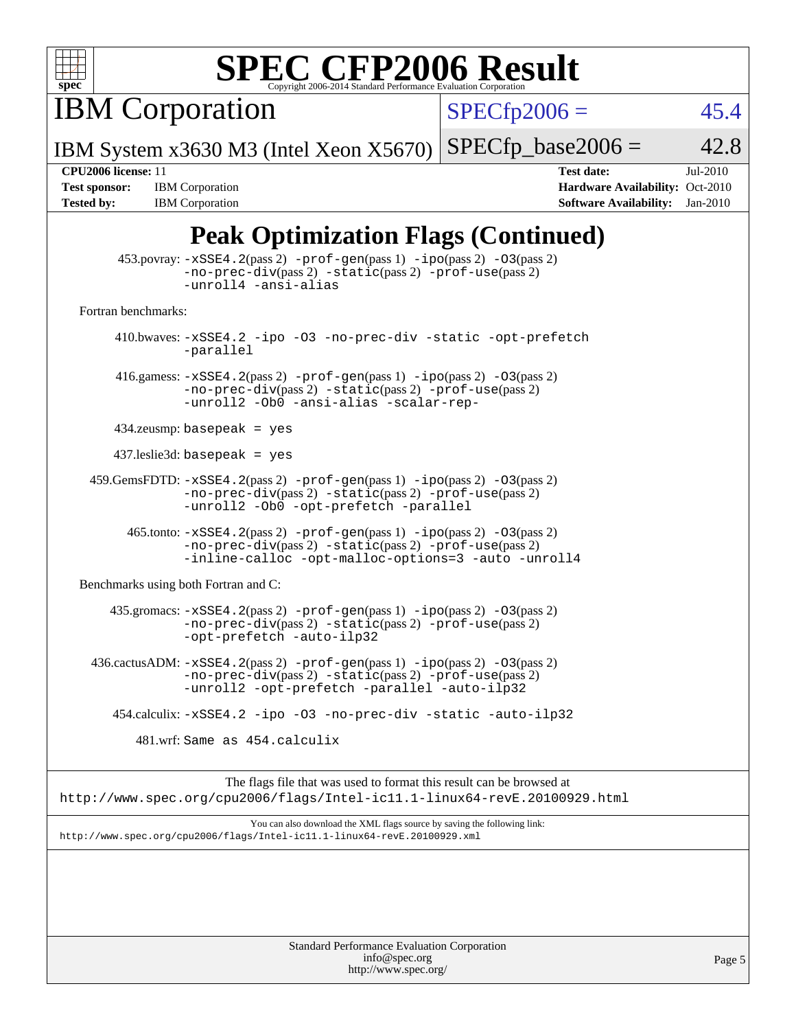

IBM Corporation

 $SPECfp2006 = 45.4$  $SPECfp2006 = 45.4$ 

Page 5

IBM System x3630 M3 (Intel Xeon X5670)  $SPECTp\_base2006 = 42.8$ 

**[Test sponsor:](http://www.spec.org/auto/cpu2006/Docs/result-fields.html#Testsponsor)** IBM Corporation **[Hardware Availability:](http://www.spec.org/auto/cpu2006/Docs/result-fields.html#HardwareAvailability)** Oct-2010 **[Tested by:](http://www.spec.org/auto/cpu2006/Docs/result-fields.html#Testedby)** IBM Corporation **[Software Availability:](http://www.spec.org/auto/cpu2006/Docs/result-fields.html#SoftwareAvailability)** Jan-2010

**[CPU2006 license:](http://www.spec.org/auto/cpu2006/Docs/result-fields.html#CPU2006license)** 11 **[Test date:](http://www.spec.org/auto/cpu2006/Docs/result-fields.html#Testdate)** Jul-2010

### **[Peak Optimization Flags \(Continued\)](http://www.spec.org/auto/cpu2006/Docs/result-fields.html#PeakOptimizationFlags)**

|                                      | $453.$ povray: $-xSSE4.2(pass2)$ -prof-gen $(pass1)$ -ipo $(pass2)$ -03 $(pass2)$<br>-no-prec-div(pass 2) -static(pass 2) -prof-use(pass 2)<br>-unroll4 -ansi-alias                                      |
|--------------------------------------|----------------------------------------------------------------------------------------------------------------------------------------------------------------------------------------------------------|
| Fortran benchmarks:                  |                                                                                                                                                                                                          |
|                                      | 410.bwaves: -xSSE4.2 -ipo -03 -no-prec-div -static -opt-prefetch<br>-parallel                                                                                                                            |
|                                      | 416.gamess: $-xSSE4$ . $2(pass 2)$ -prof-gen(pass 1) -ipo(pass 2) -03(pass 2)<br>-no-prec-div(pass 2) -static(pass 2) -prof-use(pass 2)<br>-unroll2 -Ob0 -ansi-alias -scalar-rep-                        |
|                                      | $434$ .zeusmp: basepeak = yes                                                                                                                                                                            |
|                                      | $437$ leslie3d: basepeak = yes                                                                                                                                                                           |
|                                      | $459.GemsFDTD: -xSSE4.2(pass 2) -prof-gen(pass 1) -ipo(pass 2) -03(pass 2)$<br>-no-prec-div(pass 2) -static(pass 2) -prof-use(pass 2)<br>-unroll2 -Ob0 -opt-prefetch -parallel                           |
|                                      | 465.tonto: -xSSE4.2(pass 2) -prof-gen(pass 1) -ipo(pass 2) -03(pass 2)<br>$-no-prec-div(pass 2) -static(pass 2) -prof-use(pass 2)$<br>-inline-calloc -opt-malloc-options=3 -auto -unroll4                |
| Benchmarks using both Fortran and C: |                                                                                                                                                                                                          |
|                                      | 435.gromacs: $-xSSE4$ . 2(pass 2) $-prof$ -gen(pass 1) $-ipo$ (pass 2) $-O3$ (pass 2)<br>-no-prec-div(pass 2) -static(pass 2) -prof-use(pass 2)<br>-opt-prefetch -auto-ilp32                             |
|                                      | 436.cactusADM: -xSSE4.2(pass 2) -prof-gen(pass 1) -ipo(pass 2) -03(pass 2)<br>$-no\text{-prec-div}(pass 2)$ $-static(pass 2)$ $-prot\text{-use}(pass 2)$<br>-unroll2 -opt-prefetch -parallel -auto-ilp32 |
|                                      | 454.calculix: -xSSE4.2 -ipo -03 -no-prec-div -static -auto-ilp32                                                                                                                                         |
|                                      | 481.wrf: Same as 454.calculix                                                                                                                                                                            |
|                                      | The flags file that was used to format this result can be browsed at<br>http://www.spec.org/cpu2006/flags/Intel-ic11.1-linux64-revE.20100929.html                                                        |
|                                      | You can also download the XML flags source by saving the following link:<br>http://www.spec.org/cpu2006/flags/Intel-icl1.1-linux64-revE.20100929.xml                                                     |
|                                      |                                                                                                                                                                                                          |
|                                      | Standard Performance Evaluation Corporation                                                                                                                                                              |

[info@spec.org](mailto:info@spec.org) <http://www.spec.org/>